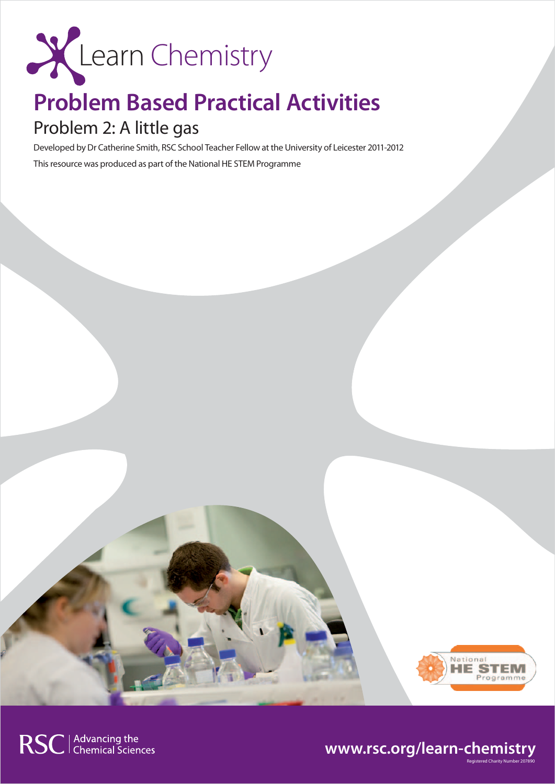

## **Problem Based Practical Activities**

## Problem 2: A little gas

Developed by Dr Catherine Smith, RSC School Teacher Fellow at the University of Leicester 2011-2012 This resource was produced as part of the National HE STEM Programme



### **www.rsc.org/learn-chemistry**

RSC | Advancing the<br>
Chemical Sciences

Registered Charity Number 207890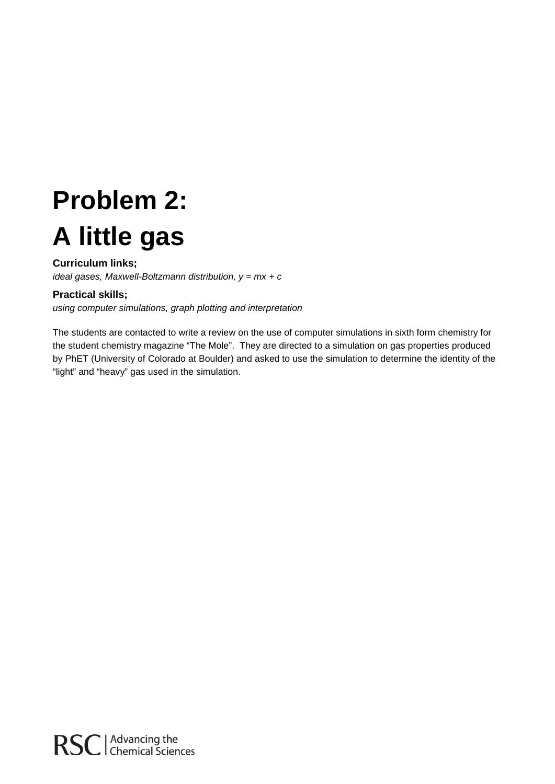# **Problem 2: A little gas**

#### **Curriculum links;**

*ideal gases, Maxwell-Boltzmann distribution, y = mx + c*

#### **Practical skills;**

*using computer simulations, graph plotting and interpretation*

The students are contacted to write a review on the use of computer simulations in sixth form chemistry for the student chemistry magazine "The Mole". They are directed to a simulation on gas properties produced by PhET (University of Colorado at Boulder) and asked to use the simulation to determine the identity of the "light" and "heavy" gas used in the simulation.

RSC | Advancing the<br>
RSC | Chemical Sciences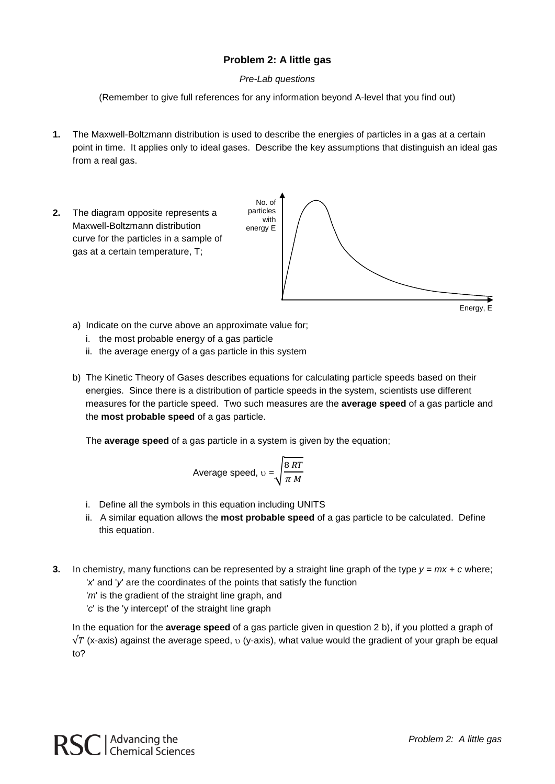#### **Problem 2: A little gas**

#### *Pre-Lab questions*

(Remember to give full references for any information beyond A-level that you find out)

- **1.** The Maxwell-Boltzmann distribution is used to describe the energies of particles in a gas at a certain point in time. It applies only to ideal gases. Describe the key assumptions that distinguish an ideal gas from a real gas.
- **2.** The diagram opposite represents a Maxwell-Boltzmann distribution curve for the particles in a sample of gas at a certain temperature, T;





- a) Indicate on the curve above an approximate value for;
	- i. the most probable energy of a gas particle
	- ii. the average energy of a gas particle in this system
- b) The Kinetic Theory of Gases describes equations for calculating particle speeds based on their energies. Since there is a distribution of particle speeds in the system, scientists use different measures for the particle speed. Two such measures are the **average speed** of a gas particle and the **most probable speed** of a gas particle.

The **average speed** of a gas particle in a system is given by the equation;

Average speed, 
$$
v = \sqrt{\frac{8RT}{\pi M}}
$$

- i. Define all the symbols in this equation including UNITS
- ii. A similar equation allows the **most probable speed** of a gas particle to be calculated. Define this equation.
- **3.** In chemistry, many functions can be represented by a straight line graph of the type *y = mx + c* where; '*x*' and '*y*' are the coordinates of the points that satisfy the function

'*m*' is the gradient of the straight line graph, and

'*c*' is the 'y intercept' of the straight line graph

In the equation for the **average speed** of a gas particle given in question 2 b), if you plotted a graph of  $\sqrt{T}$  (x-axis) against the average speed, υ (y-axis), what value would the gradient of your graph be equal to?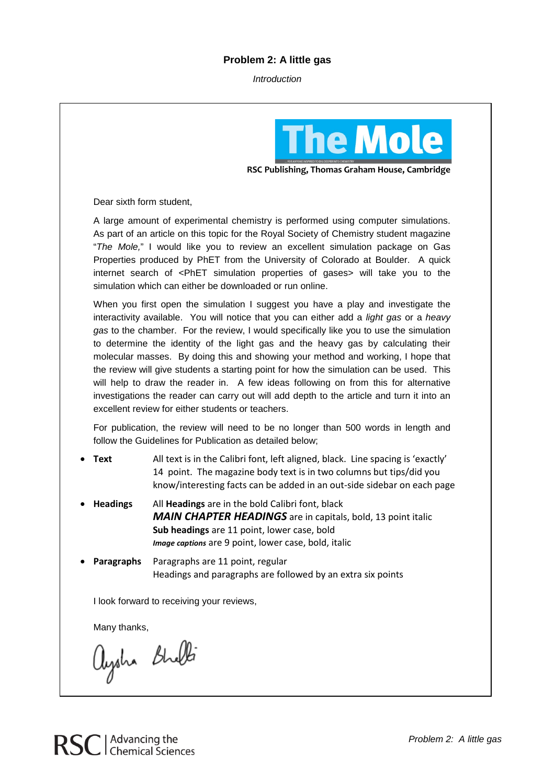#### **Problem 2: A little gas**

*Introduction*



**RSC Publishing, Thomas Graham House, Cambridge**

Dear sixth form student,

A large amount of experimental chemistry is performed using computer simulations. As part of an article on this topic for the Royal Society of Chemistry student magazine "*The Mole,*" I would like you to review an excellent simulation package on Gas Properties produced by PhET from the University of Colorado at Boulder. A quick internet search of <PhET simulation properties of gases> will take you to the simulation which can either be downloaded or run online.

When you first open the simulation I suggest you have a play and investigate the interactivity available. You will notice that you can either add a *light gas* or a *heavy gas* to the chamber. For the review, I would specifically like you to use the simulation to determine the identity of the light gas and the heavy gas by calculating their molecular masses. By doing this and showing your method and working, I hope that the review will give students a starting point for how the simulation can be used. This will help to draw the reader in. A few ideas following on from this for alternative investigations the reader can carry out will add depth to the article and turn it into an excellent review for either students or teachers.

For publication, the review will need to be no longer than 500 words in length and follow the Guidelines for Publication as detailed below;

- **Text** All text is in the Calibri font, left aligned, black. Line spacing is 'exactly' 14 point. The magazine body text is in two columns but tips/did you know/interesting facts can be added in an out-side sidebar on each page
- **Headings** All **Headings** are in the bold Calibri font, black *MAIN CHAPTER HEADINGS* are in capitals, bold, 13 point italic **Sub headings** are 11 point, lower case, bold *Image captions* are 9 point, lower case, bold, italic

• **Paragraphs** Paragraphs are 11 point, regular Headings and paragraphs are followed by an extra six points

I look forward to receiving your reviews,

Many thanks,

aysha Bhelti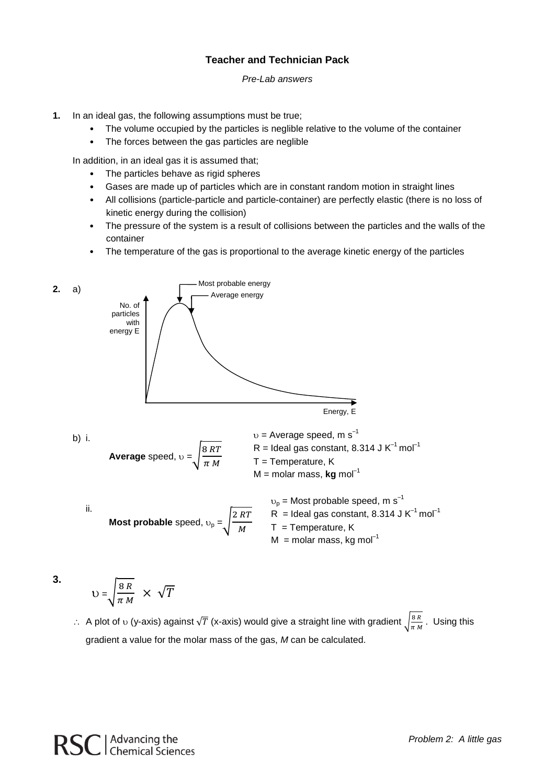#### **Teacher and Technician Pack**

#### *Pre-Lab answers*

- **1.** In an ideal gas, the following assumptions must be true;
	- The volume occupied by the particles is neglible relative to the volume of the container
	- The forces between the gas particles are neglible

In addition, in an ideal gas it is assumed that;

- The particles behave as rigid spheres
- Gases are made up of particles which are in constant random motion in straight lines
- All collisions (particle-particle and particle-container) are perfectly elastic (there is no loss of kinetic energy during the collision)
- The pressure of the system is a result of collisions between the particles and the walls of the container
- The temperature of the gas is proportional to the average kinetic energy of the particles



**3.**

$$
U = \sqrt{\frac{8 R}{\pi M}} \times \sqrt{T}
$$

∴ A plot of  $\upsilon$  (y-axis) against  $\sqrt{T}$  (x-axis) would give a straight line with gradient  $\sqrt{\frac{8R}{\pi M}}$ . Using this gradient a value for the molar mass of the gas, *M* can be calculated.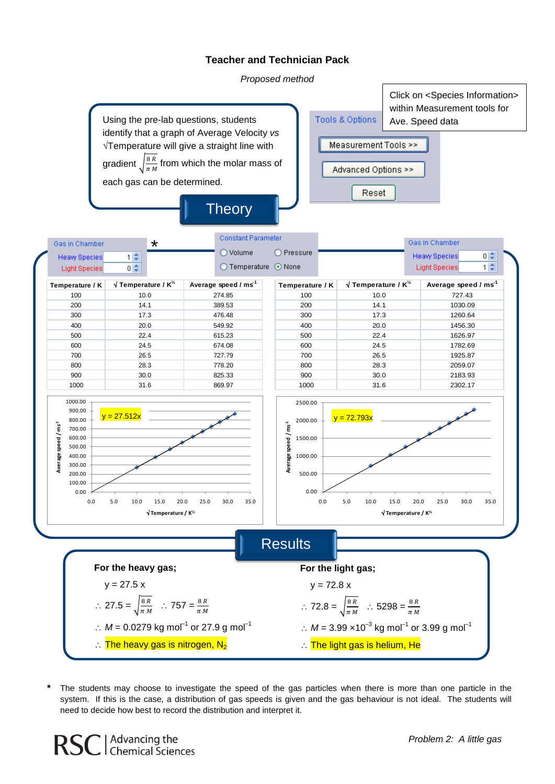#### **Teacher and Technician Pack**

*Proposed method*



The students may choose to investigate the speed of the gas particles when there is more than one particle in the system. If this is the case, a distribution of gas speeds is given and the gas behaviour is not ideal. The students will need to decide how best to record the distribution and interpret it.